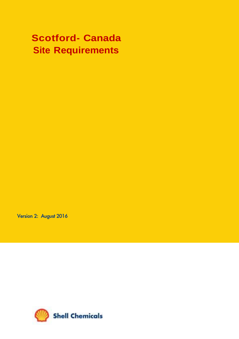# **Scotford- Canada Site Requirements**

Version 2: August 2016

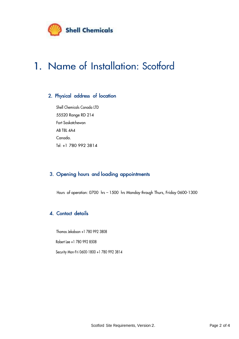

# 1. Name of Installation: Scotford

# 2. Physical address of location

Shell Chemicals Canada LTD 55520 Range RD 214 Fort Saskatchewan AB T8L 4A4 Canada. Tel: +1 780 992 3814

## 3. Opening hours and loading appointments

Hours of operation: 0700 hrs – 1500 hrs Monday through Thurs, Friday 0600-1300

## 4. Contact details

Thomas Jekabson +1 780 992 3808

Robert Lee +1 780 992 8508

Security Mon-Fri 0600-1800 +1 780 992 3814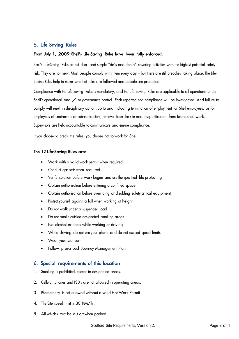## 5. Life Saving Rules

### From July 1, 2009 Shell's Life-Saving Rules have been fully enforced.

Shell's Life-Saving Rules set out clear and simple "do's and don'ts" covering activities with the highest potential safety risk. They are not new. Most people comply with them every day – but there are still breaches taking place. The Life-Saving Rules help to make sure that rules are followed and people are protected.

Compliance with the Life Saving Rules is mandatory, and the Life Saving Rules are applicable to all operations under Shell's operational and  $\angle$  or governance control. Each reported non-compliance will be investigated. And failure to comply will result in disciplinary action, up to and including termination of employment for Shell employees, or for employees of contractors or sub-contractors, removal from the site and disqualification from future Shell work. Supervisors are held accountable to communicate and ensure compliance.

If you choose to break the rules, you choose not to work for Shell.

#### The 12 Life-Saving Rules are:

- Work with a valid work permit when required
- Conduct gas tests when required
- Verify isolation before work begins and use the specified life protecting
- Obtain authorisation before entering a confined space
- Obtain authorisation before overriding or disabling safety critical equipment
- Protect yourself against a fall when working at height
- Do not walk under a suspended load
- Do not smoke outside designated smoking areas
- No alcohol or drugs while working or driving
- While driving, do not use your phone and do not exceed speed limits
- Wear your seat belt
- Follow prescribed Journey Management Plan

## 6. Special requirements of this location

- 1. Smoking is prohibited, except in designated areas.
- 2. Cellular phones and PED's are not allowed in operating areas.
- 3. Photography is not allowed without a valid Hot Work Permit
- 4. The Site speed limit is 30 KM/h.
- 5. All vehicles must be shut off when parked.